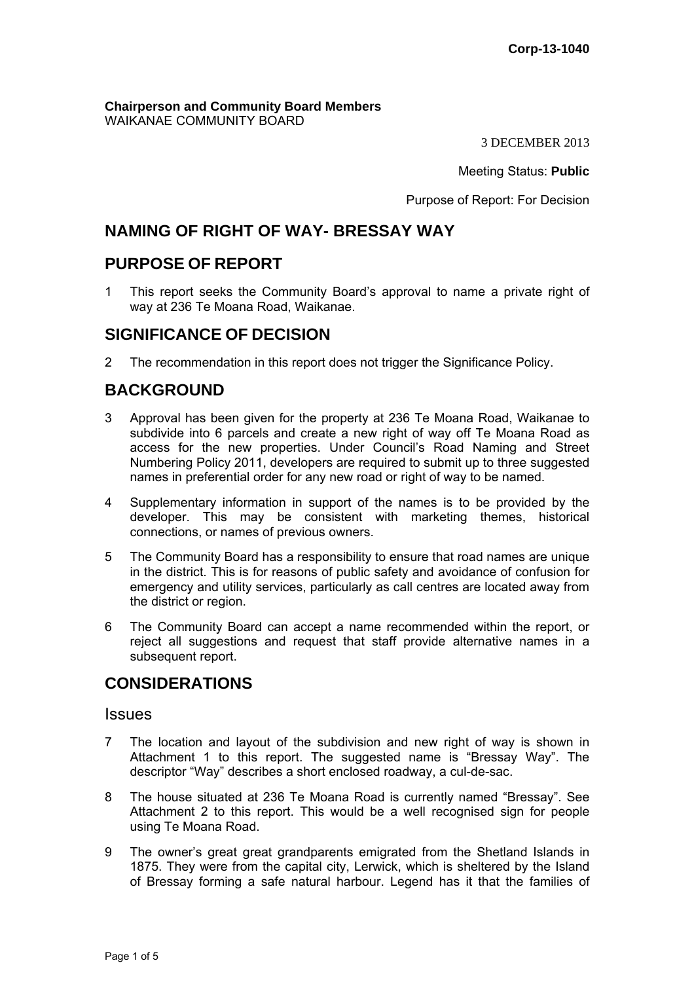**Chairperson and Community Board Members** WAIKANAE COMMUNITY BOARD

3 DECEMBER 2013

Meeting Status: **Public**

Purpose of Report: For Decision

# **NAMING OF RIGHT OF WAY- BRESSAY WAY**

## **PURPOSE OF REPORT**

1 This report seeks the Community Board's approval to name a private right of way at 236 Te Moana Road, Waikanae.

## **SIGNIFICANCE OF DECISION**

2 The recommendation in this report does not trigger the Significance Policy.

# **BACKGROUND**

- 3 Approval has been given for the property at 236 Te Moana Road, Waikanae to subdivide into 6 parcels and create a new right of way off Te Moana Road as access for the new properties. Under Council's Road Naming and Street Numbering Policy 2011, developers are required to submit up to three suggested names in preferential order for any new road or right of way to be named.
- 4 Supplementary information in support of the names is to be provided by the developer. This may be consistent with marketing themes, historical connections, or names of previous owners.
- 5 The Community Board has a responsibility to ensure that road names are unique in the district. This is for reasons of public safety and avoidance of confusion for emergency and utility services, particularly as call centres are located away from the district or region.
- 6 The Community Board can accept a name recommended within the report, or reject all suggestions and request that staff provide alternative names in a subsequent report.

# **CONSIDERATIONS**

### **Issues**

- 7 The location and layout of the subdivision and new right of way is shown in Attachment 1 to this report. The suggested name is "Bressay Way". The descriptor "Way" describes a short enclosed roadway, a cul-de-sac.
- 8 The house situated at 236 Te Moana Road is currently named "Bressay". See Attachment 2 to this report. This would be a well recognised sign for people using Te Moana Road.
- 9 The owner's great great grandparents emigrated from the Shetland Islands in 1875. They were from the capital city, Lerwick, which is sheltered by the Island of Bressay forming a safe natural harbour. Legend has it that the families of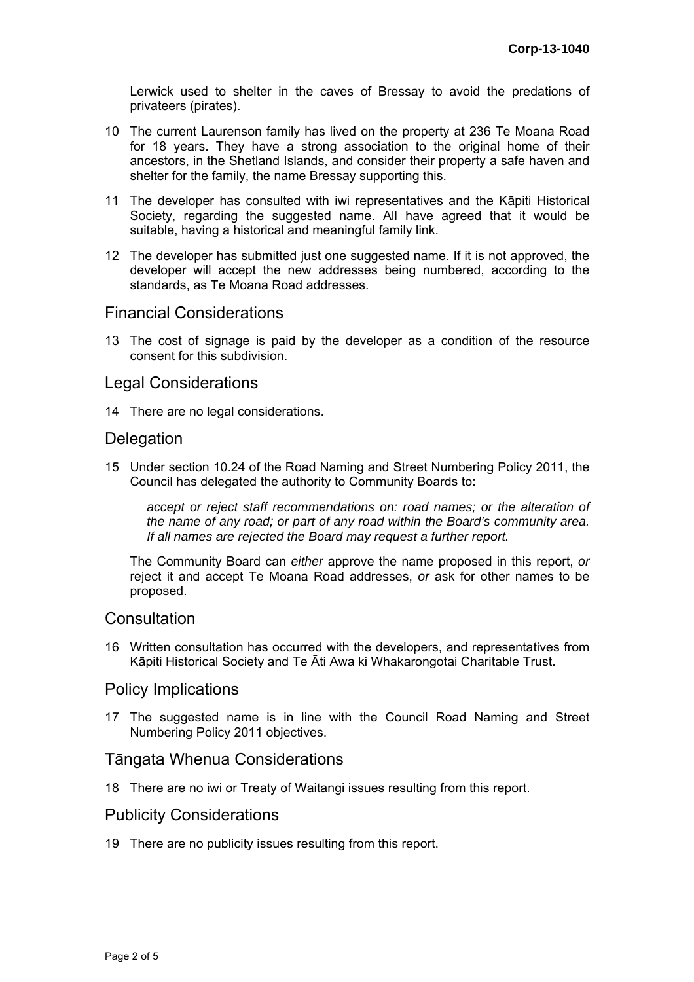Lerwick used to shelter in the caves of Bressay to avoid the predations of privateers (pirates).

- 10 The current Laurenson family has lived on the property at 236 Te Moana Road for 18 years. They have a strong association to the original home of their ancestors, in the Shetland Islands, and consider their property a safe haven and shelter for the family, the name Bressay supporting this.
- 11 The developer has consulted with iwi representatives and the Kāpiti Historical Society, regarding the suggested name. All have agreed that it would be suitable, having a historical and meaningful family link.
- 12 The developer has submitted just one suggested name. If it is not approved, the developer will accept the new addresses being numbered, according to the standards, as Te Moana Road addresses.

## Financial Considerations

13 The cost of signage is paid by the developer as a condition of the resource consent for this subdivision.

## Legal Considerations

14 There are no legal considerations.

## **Delegation**

15 Under section 10.24 of the Road Naming and Street Numbering Policy 2011, the Council has delegated the authority to Community Boards to:

*accept or reject staff recommendations on: road names; or the alteration of the name of any road; or part of any road within the Board's community area. If all names are rejected the Board may request a further report.* 

The Community Board can *either* approve the name proposed in this report, *or* reject it and accept Te Moana Road addresses, *or* ask for other names to be proposed.

### **Consultation**

16 Written consultation has occurred with the developers, and representatives from Kāpiti Historical Society and Te Āti Awa ki Whakarongotai Charitable Trust.

### Policy Implications

17 The suggested name is in line with the Council Road Naming and Street Numbering Policy 2011 objectives.

## Tāngata Whenua Considerations

18 There are no iwi or Treaty of Waitangi issues resulting from this report.

### Publicity Considerations

19 There are no publicity issues resulting from this report.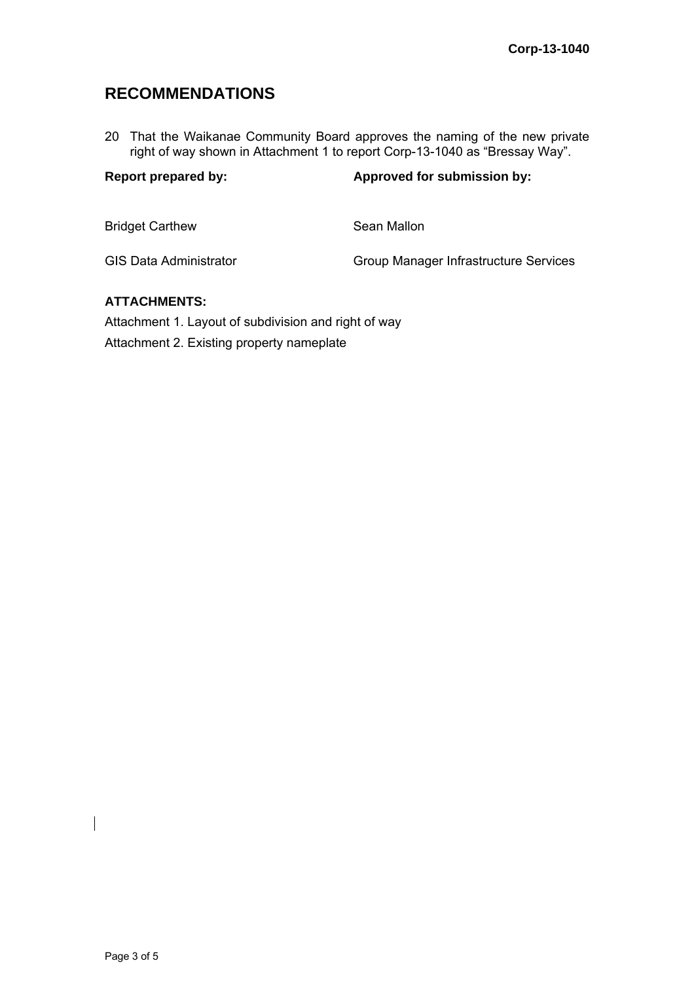# **RECOMMENDATIONS**

20 That the Waikanae Community Board approves the naming of the new private right of way shown in Attachment 1 to report Corp-13-1040 as "Bressay Way".

| <b>Report prepared by:</b>    | Approved for submission by:           |
|-------------------------------|---------------------------------------|
| <b>Bridget Carthew</b>        | Sean Mallon                           |
| <b>GIS Data Administrator</b> | Group Manager Infrastructure Services |
|                               |                                       |

# **ATTACHMENTS:**

Attachment 1. Layout of subdivision and right of way Attachment 2. Existing property nameplate

 $\overline{\phantom{a}}$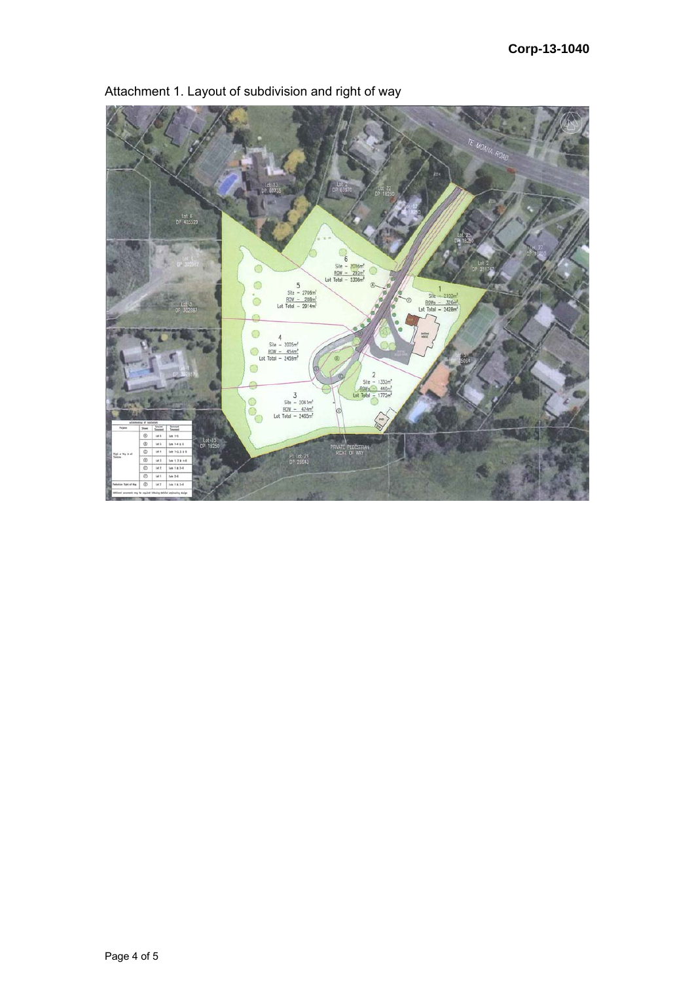

Attachment 1. Layout of subdivision and right of way